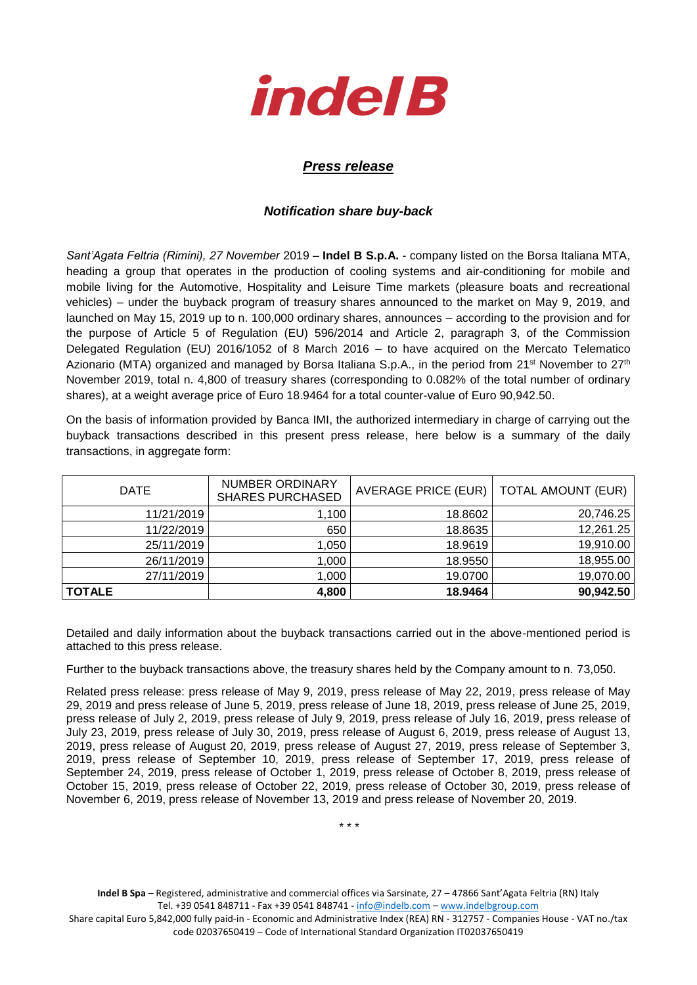

## *Press release*

## *Notification share buy-back*

*Sant'Agata Feltria (Rimini), 27 November* 2019 – **Indel B S.p.A.** - company listed on the Borsa Italiana MTA, heading a group that operates in the production of cooling systems and air-conditioning for mobile and mobile living for the Automotive, Hospitality and Leisure Time markets (pleasure boats and recreational vehicles) – under the buyback program of treasury shares announced to the market on May 9, 2019, and launched on May 15, 2019 up to n. 100,000 ordinary shares, announces – according to the provision and for the purpose of Article 5 of Regulation (EU) 596/2014 and Article 2, paragraph 3, of the Commission Delegated Regulation (EU) 2016/1052 of 8 March 2016 – to have acquired on the Mercato Telematico Azionario (MTA) organized and managed by Borsa Italiana S.p.A., in the period from 21<sup>st</sup> November to 27<sup>th</sup> November 2019, total n. 4,800 of treasury shares (corresponding to 0.082% of the total number of ordinary shares), at a weight average price of Euro 18.9464 for a total counter-value of Euro 90,942.50.

On the basis of information provided by Banca IMI, the authorized intermediary in charge of carrying out the buyback transactions described in this present press release, here below is a summary of the daily transactions, in aggregate form:

| <b>DATE</b>   | <b>NUMBER ORDINARY</b><br><b>SHARES PURCHASED</b> | AVERAGE PRICE (EUR)   TOTAL AMOUNT (EUR) |           |  |
|---------------|---------------------------------------------------|------------------------------------------|-----------|--|
| 11/21/2019    | ,100                                              | 18.8602                                  | 20,746.25 |  |
| 11/22/2019    | 650                                               | 18.8635                                  | 12,261.25 |  |
| 25/11/2019    | 1,050                                             | 18.9619                                  | 19,910.00 |  |
| 26/11/2019    | 1,000                                             | 18.9550                                  | 18,955.00 |  |
| 27/11/2019    | 1,000                                             | 19.0700                                  | 19,070.00 |  |
| <b>TOTALE</b> | 4,800                                             | 18.9464                                  | 90,942.50 |  |

Detailed and daily information about the buyback transactions carried out in the above-mentioned period is attached to this press release.

Further to the buyback transactions above, the treasury shares held by the Company amount to n. 73,050.

Related press release: press release of May 9, 2019, press release of May 22, 2019, press release of May 29, 2019 and press release of June 5, 2019, press release of June 18, 2019, press release of June 25, 2019, press release of July 2, 2019, press release of July 9, 2019, press release of July 16, 2019, press release of July 23, 2019, press release of July 30, 2019, press release of August 6, 2019, press release of August 13, 2019, press release of August 20, 2019, press release of August 27, 2019, press release of September 3, 2019, press release of September 10, 2019, press release of September 17, 2019, press release of September 24, 2019, press release of October 1, 2019, press release of October 8, 2019, press release of October 15, 2019, press release of October 22, 2019, press release of October 30, 2019, press release of November 6, 2019, press release of November 13, 2019 and press release of November 20, 2019.

\* \* \*

**Indel B Spa** – Registered, administrative and commercial offices via Sarsinate, 27 – 47866 Sant'Agata Feltria (RN) Italy Tel. +39 0541 848711 - Fax +39 0541 848741 - [info@indelb.com](mailto:info@indelb.com) – [www.indelbgroup.com](http://www.indelbgroup.com/)

Share capital Euro 5,842,000 fully paid-in - Economic and Administrative Index (REA) RN - 312757 - Companies House - VAT no./tax code 02037650419 – Code of International Standard Organization IT02037650419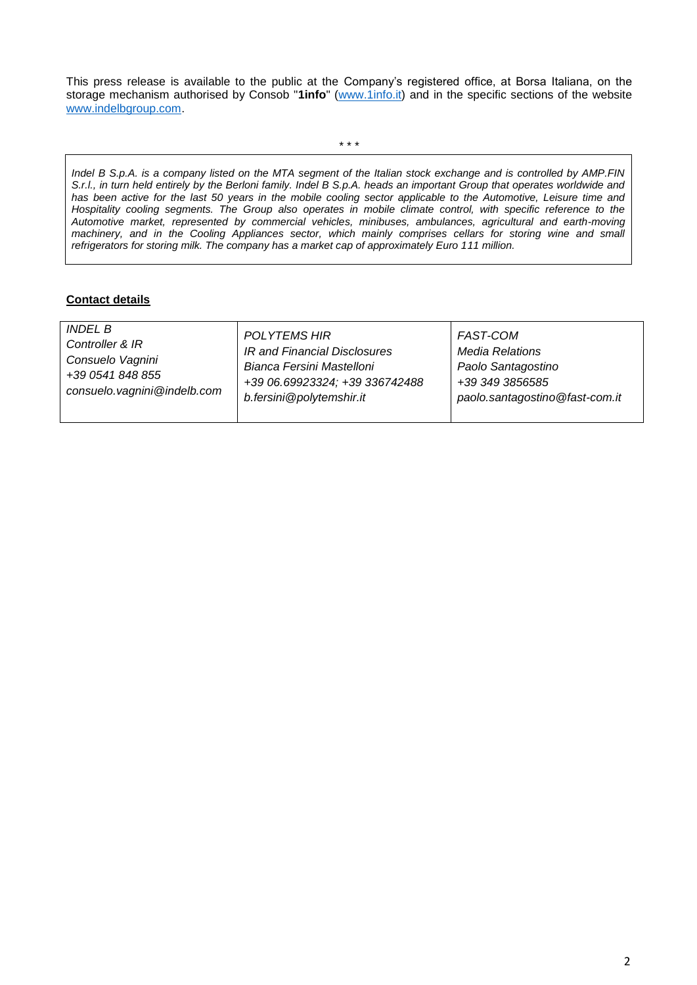This press release is available to the public at the Company's registered office, at Borsa Italiana, on the storage mechanism authorised by Consob "**1info**" [\(www.1info.it\)](file:///C:/Users/ddelietovollaro/AppData/Local/Microsoft/Windows/INetCache/Content.Outlook/T87B94UR/www.1info.it) and in the specific sections of the website [www.indelbgroup.com.](http://www.indelbgroup.com/)

\* \* \*

*Indel B S.p.A. is a company listed on the MTA segment of the Italian stock exchange and is controlled by AMP.FIN S.r.l., in turn held entirely by the Berloni family. Indel B S.p.A. heads an important Group that operates worldwide and*  has been active for the last 50 years in the mobile cooling sector applicable to the Automotive, Leisure time and *Hospitality cooling segments. The Group also operates in mobile climate control, with specific reference to the Automotive market, represented by commercial vehicles, minibuses, ambulances, agricultural and earth-moving machinery, and in the Cooling Appliances sector, which mainly comprises cellars for storing wine and small refrigerators for storing milk. The company has a market cap of approximately Euro 111 million.* 

## **Contact details**

| <i>INDEL B</i><br><b>POLYTEMS HIR</b><br><b>FAST-COM</b><br>Controller & IR<br>IR and Financial Disclosures<br><b>Media Relations</b><br>Consuelo Vagnini<br>Bianca Fersini Mastelloni<br>Paolo Santagostino<br>+39 0541 848 855<br>+39 06.69923324; +39 336742488<br>+39 349 3856585<br>consuelo.vagnini@indelb.com<br>b.fersini@polytemshir.it<br>paolo.santagostino@fast-com.it |  |
|------------------------------------------------------------------------------------------------------------------------------------------------------------------------------------------------------------------------------------------------------------------------------------------------------------------------------------------------------------------------------------|--|
|------------------------------------------------------------------------------------------------------------------------------------------------------------------------------------------------------------------------------------------------------------------------------------------------------------------------------------------------------------------------------------|--|